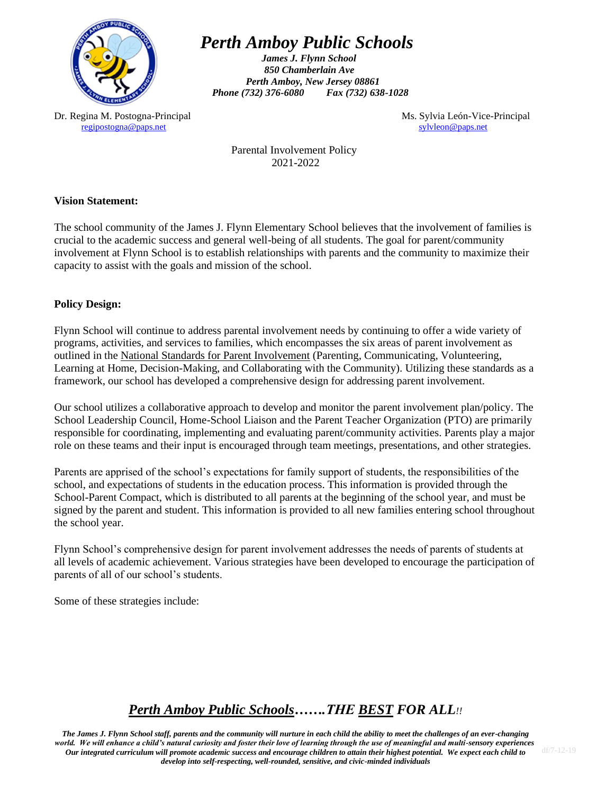

*James J. Flynn School 850 Chamberlain Ave Perth Amboy, New Jersey 08861 Phone (732) 376-6080 Fax (732) 638-1028*

Dr. Regina M. Postogna-Principal Ms. Sylvia León-Vice-Principal Ms. Sylvia León-Vice-Principal [regipostogna@paps.net](mailto:regipostogna@paps.net) [sylvleon@paps.net](mailto:sylvleon@paps.net)

Parental Involvement Policy 2021-2022

#### **Vision Statement:**

The school community of the James J. Flynn Elementary School believes that the involvement of families is crucial to the academic success and general well-being of all students. The goal for parent/community involvement at Flynn School is to establish relationships with parents and the community to maximize their capacity to assist with the goals and mission of the school.

#### **Policy Design:**

Flynn School will continue to address parental involvement needs by continuing to offer a wide variety of programs, activities, and services to families, which encompasses the six areas of parent involvement as outlined in the National Standards for Parent Involvement (Parenting, Communicating, Volunteering, Learning at Home, Decision-Making, and Collaborating with the Community). Utilizing these standards as a framework, our school has developed a comprehensive design for addressing parent involvement.

Our school utilizes a collaborative approach to develop and monitor the parent involvement plan/policy. The School Leadership Council, Home-School Liaison and the Parent Teacher Organization (PTO) are primarily responsible for coordinating, implementing and evaluating parent/community activities. Parents play a major role on these teams and their input is encouraged through team meetings, presentations, and other strategies.

Parents are apprised of the school's expectations for family support of students, the responsibilities of the school, and expectations of students in the education process. This information is provided through the School-Parent Compact, which is distributed to all parents at the beginning of the school year, and must be signed by the parent and student. This information is provided to all new families entering school throughout the school year.

Flynn School's comprehensive design for parent involvement addresses the needs of parents of students at all levels of academic achievement. Various strategies have been developed to encourage the participation of parents of all of our school's students.

Some of these strategies include:

### *Perth Amboy Public Schools…….THE BEST FOR ALL!!*

*The James J. Flynn School staff, parents and the community will nurture in each child the ability to meet the challenges of an ever-changing*  world. We will enhance a child's natural curiosity and foster their love of learning through the use of meaningful and multi-sensory experiences. *Our integrated curriculum will promote academic success and encourage children to attain their highest potential. We expect each child to develop into self-respecting, well-rounded, sensitive, and civic-minded individuals*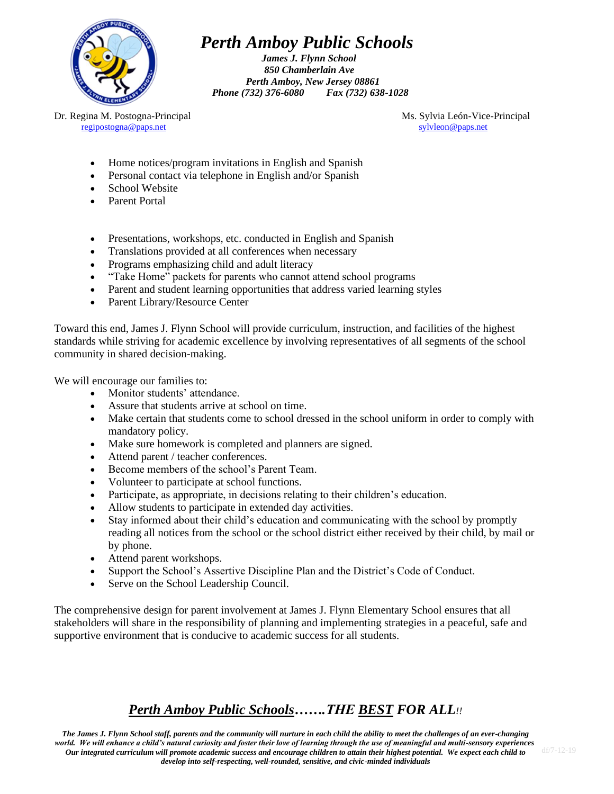

*James J. Flynn School 850 Chamberlain Ave Perth Amboy, New Jersey 08861 Phone (732) 376-6080 Fax (732) 638-1028*

Dr. Regina M. Postogna-Principal and Ms. Sylvia León-Vice-Principal Ms. Sylvia León-Vice-Principal [regipostogna@paps.net](mailto:regipostogna@paps.net) [sylvleon@paps.net](mailto:sylvleon@paps.net)

- Home notices/program invitations in English and Spanish
- Personal contact via telephone in English and/or Spanish
- School Website
- Parent Portal
- Presentations, workshops, etc. conducted in English and Spanish
- Translations provided at all conferences when necessary
- Programs emphasizing child and adult literacy
- "Take Home" packets for parents who cannot attend school programs
- Parent and student learning opportunities that address varied learning styles
- Parent Library/Resource Center

Toward this end, James J. Flynn School will provide curriculum, instruction, and facilities of the highest standards while striving for academic excellence by involving representatives of all segments of the school community in shared decision-making.

We will encourage our families to:

- Monitor students' attendance.
- Assure that students arrive at school on time.
- Make certain that students come to school dressed in the school uniform in order to comply with mandatory policy.
- Make sure homework is completed and planners are signed.
- Attend parent / teacher conferences.
- Become members of the school's Parent Team.
- Volunteer to participate at school functions.
- Participate, as appropriate, in decisions relating to their children's education.
- Allow students to participate in extended day activities.
- Stay informed about their child's education and communicating with the school by promptly reading all notices from the school or the school district either received by their child, by mail or by phone.
- Attend parent workshops.
- Support the School's Assertive Discipline Plan and the District's Code of Conduct.
- Serve on the School Leadership Council.

The comprehensive design for parent involvement at James J. Flynn Elementary School ensures that all stakeholders will share in the responsibility of planning and implementing strategies in a peaceful, safe and supportive environment that is conducive to academic success for all students.

#### *Perth Amboy Public Schools…….THE BEST FOR ALL!!*

*The James J. Flynn School staff, parents and the community will nurture in each child the ability to meet the challenges of an ever-changing world. We will enhance a child's natural curiosity and foster their love of learning through the use of meaningful and multi-sensory experiences. Our integrated curriculum will promote academic success and encourage children to attain their highest potential. We expect each child to develop into self-respecting, well-rounded, sensitive, and civic-minded individuals*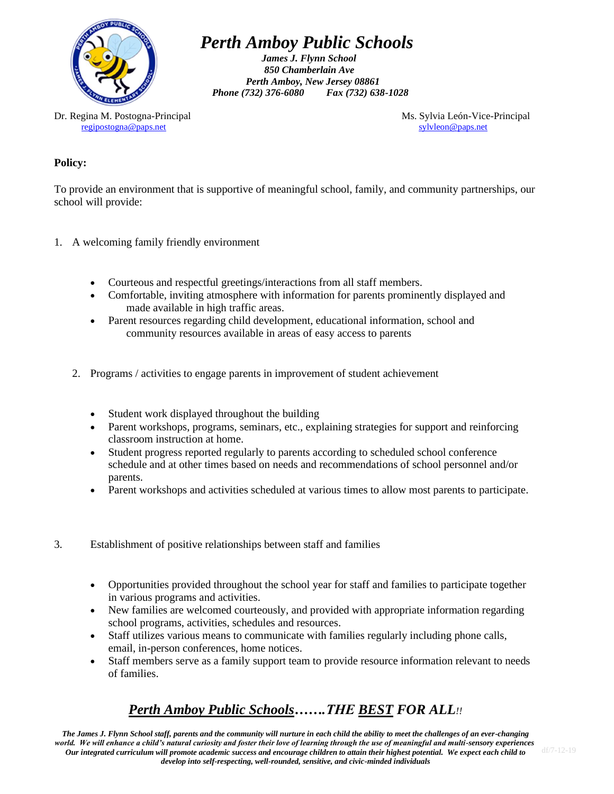

*James J. Flynn School 850 Chamberlain Ave Perth Amboy, New Jersey 08861 Phone (732) 376-6080 Fax (732) 638-1028*

Dr. Regina M. Postogna-Principal Ms. Sylvia León-Vice-Principal Ms. Sylvia León-Vice-Principal [regipostogna@paps.net](mailto:regipostogna@paps.net) [sylvleon@paps.net](mailto:sylvleon@paps.net)

#### **Policy:**

To provide an environment that is supportive of meaningful school, family, and community partnerships, our school will provide:

- 1. A welcoming family friendly environment
	- Courteous and respectful greetings/interactions from all staff members.
	- Comfortable, inviting atmosphere with information for parents prominently displayed and made available in high traffic areas.
	- Parent resources regarding child development, educational information, school and community resources available in areas of easy access to parents
	- 2. Programs / activities to engage parents in improvement of student achievement
		- Student work displayed throughout the building
		- Parent workshops, programs, seminars, etc., explaining strategies for support and reinforcing classroom instruction at home.
		- Student progress reported regularly to parents according to scheduled school conference schedule and at other times based on needs and recommendations of school personnel and/or parents.
		- Parent workshops and activities scheduled at various times to allow most parents to participate.
- 3. Establishment of positive relationships between staff and families
	- Opportunities provided throughout the school year for staff and families to participate together in various programs and activities.
	- New families are welcomed courteously, and provided with appropriate information regarding school programs, activities, schedules and resources.
	- Staff utilizes various means to communicate with families regularly including phone calls, email, in-person conferences, home notices.
	- Staff members serve as a family support team to provide resource information relevant to needs of families.

### *Perth Amboy Public Schools…….THE BEST FOR ALL!!*

*The James J. Flynn School staff, parents and the community will nurture in each child the ability to meet the challenges of an ever-changing*  world. We will enhance a child's natural curiosity and foster their love of learning through the use of meaningful and multi-sensory experiences. *Our integrated curriculum will promote academic success and encourage children to attain their highest potential. We expect each child to develop into self-respecting, well-rounded, sensitive, and civic-minded individuals*